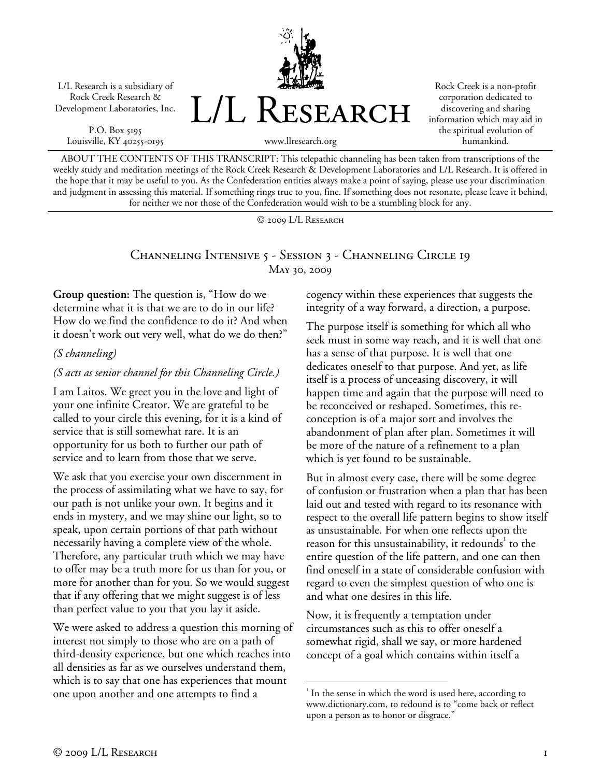L/L Research is a subsidiary of Rock Creek Research & Development Laboratories, Inc.

P.O. Box 5195 Louisville, KY 40255-0195



Rock Creek is a non-profit corporation dedicated to discovering and sharing information which may aid in the spiritual evolution of humankind.

www.llresearch.org

ABOUT THE CONTENTS OF THIS TRANSCRIPT: This telepathic channeling has been taken from transcriptions of the weekly study and meditation meetings of the Rock Creek Research & Development Laboratories and L/L Research. It is offered in the hope that it may be useful to you. As the Confederation entities always make a point of saying, please use your discrimination and judgment in assessing this material. If something rings true to you, fine. If something does not resonate, please leave it behind, for neither we nor those of the Confederation would wish to be a stumbling block for any.

© 2009 L/L Research

## Channeling Intensive 5 - Session 3 - Channeling Circle 19 May 30, 2009

**Group question:** The question is, "How do we determine what it is that we are to do in our life? How do we find the confidence to do it? And when it doesn't work out very well, what do we do then?"

#### *(S channeling)*

#### *(S acts as senior channel for this Channeling Circle.)*

I am Laitos. We greet you in the love and light of your one infinite Creator. We are grateful to be called to your circle this evening, for it is a kind of service that is still somewhat rare. It is an opportunity for us both to further our path of service and to learn from those that we serve.

We ask that you exercise your own discernment in the process of assimilating what we have to say, for our path is not unlike your own. It begins and it ends in mystery, and we may shine our light, so to speak, upon certain portions of that path without necessarily having a complete view of the whole. Therefore, any particular truth which we may have to offer may be a truth more for us than for you, or more for another than for you. So we would suggest that if any offering that we might suggest is of less than perfect value to you that you lay it aside.

We were asked to address a question this morning of interest not simply to those who are on a path of third-density experience, but one which reaches into all densities as far as we ourselves understand them, which is to say that one has experiences that mount one upon another and one attempts to find a

cogency within these experiences that suggests the integrity of a way forward, a direction, a purpose.

The purpose itself is something for which all who seek must in some way reach, and it is well that one has a sense of that purpose. It is well that one dedicates oneself to that purpose. And yet, as life itself is a process of unceasing discovery, it will happen time and again that the purpose will need to be reconceived or reshaped. Sometimes, this reconception is of a major sort and involves the abandonment of plan after plan. Sometimes it will be more of the nature of a refinement to a plan which is yet found to be sustainable.

But in almost every case, there will be some degree of confusion or frustration when a plan that has been laid out and tested with regard to its resonance with respect to the overall life pattern begins to show itself as unsustainable. For when one reflects upon the reason for this unsustainability, it redounds $^{\rm 1}$  to the entire question of the life pattern, and one can then find oneself in a state of considerable confusion with regard to even the simplest question of who one is and what one desires in this life.

Now, it is frequently a temptation under circumstances such as this to offer oneself a somewhat rigid, shall we say, or more hardened concept of a goal which contains within itself a

<sup>-</sup><sup>1</sup> In the sense in which the word is used here, according to www.dictionary.com, to redound is to "come back or reflect upon a person as to honor or disgrace."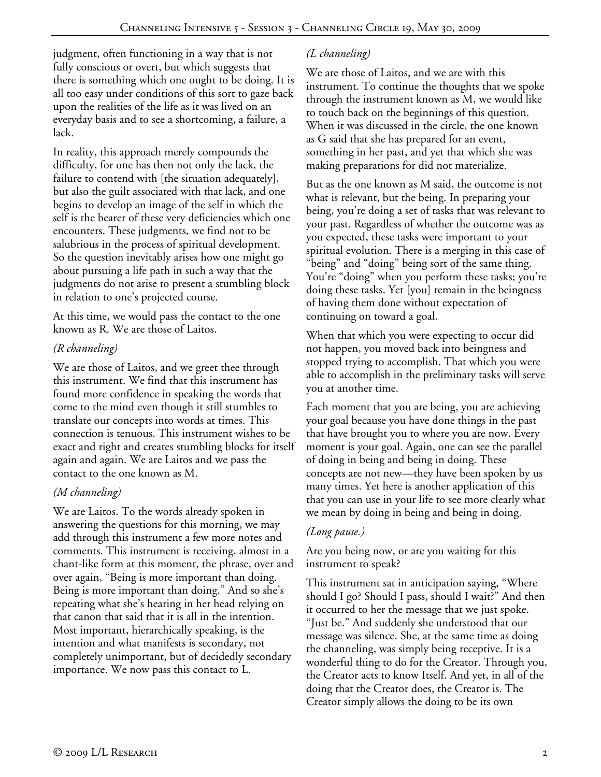judgment, often functioning in a way that is not fully conscious or overt, but which suggests that there is something which one ought to be doing. It is all too easy under conditions of this sort to gaze back upon the realities of the life as it was lived on an everyday basis and to see a shortcoming, a failure, a lack.

In reality, this approach merely compounds the difficulty, for one has then not only the lack, the failure to contend with [the situation adequately], but also the guilt associated with that lack, and one begins to develop an image of the self in which the self is the bearer of these very deficiencies which one encounters. These judgments, we find not to be salubrious in the process of spiritual development. So the question inevitably arises how one might go about pursuing a life path in such a way that the judgments do not arise to present a stumbling block in relation to one's projected course.

At this time, we would pass the contact to the one known as R. We are those of Laitos.

#### *(R channeling)*

We are those of Laitos, and we greet thee through this instrument. We find that this instrument has found more confidence in speaking the words that come to the mind even though it still stumbles to translate our concepts into words at times. This connection is tenuous. This instrument wishes to be exact and right and creates stumbling blocks for itself again and again. We are Laitos and we pass the contact to the one known as M.

#### *(M channeling)*

We are Laitos. To the words already spoken in answering the questions for this morning, we may add through this instrument a few more notes and comments. This instrument is receiving, almost in a chant-like form at this moment, the phrase, over and over again, "Being is more important than doing. Being is more important than doing." And so she's repeating what she's hearing in her head relying on that canon that said that it is all in the intention. Most important, hierarchically speaking, is the intention and what manifests is secondary, not completely unimportant, but of decidedly secondary importance. We now pass this contact to L.

## *(L channeling)*

We are those of Laitos, and we are with this instrument. To continue the thoughts that we spoke through the instrument known as M, we would like to touch back on the beginnings of this question. When it was discussed in the circle, the one known as G said that she has prepared for an event, something in her past, and yet that which she was making preparations for did not materialize.

But as the one known as M said, the outcome is not what is relevant, but the being. In preparing your being, you're doing a set of tasks that was relevant to your past. Regardless of whether the outcome was as you expected, these tasks were important to your spiritual evolution. There is a merging in this case of "being" and "doing" being sort of the same thing. You're "doing" when you perform these tasks; you're doing these tasks. Yet [you] remain in the beingness of having them done without expectation of continuing on toward a goal.

When that which you were expecting to occur did not happen, you moved back into beingness and stopped trying to accomplish. That which you were able to accomplish in the preliminary tasks will serve you at another time.

Each moment that you are being, you are achieving your goal because you have done things in the past that have brought you to where you are now. Every moment is your goal. Again, one can see the parallel of doing in being and being in doing. These concepts are not new—they have been spoken by us many times. Yet here is another application of this that you can use in your life to see more clearly what we mean by doing in being and being in doing.

### *(Long pause.)*

Are you being now, or are you waiting for this instrument to speak?

This instrument sat in anticipation saying, "Where should I go? Should I pass, should I wait?" And then it occurred to her the message that we just spoke. "Just be." And suddenly she understood that our message was silence. She, at the same time as doing the channeling, was simply being receptive. It is a wonderful thing to do for the Creator. Through you, the Creator acts to know Itself. And yet, in all of the doing that the Creator does, the Creator is. The Creator simply allows the doing to be its own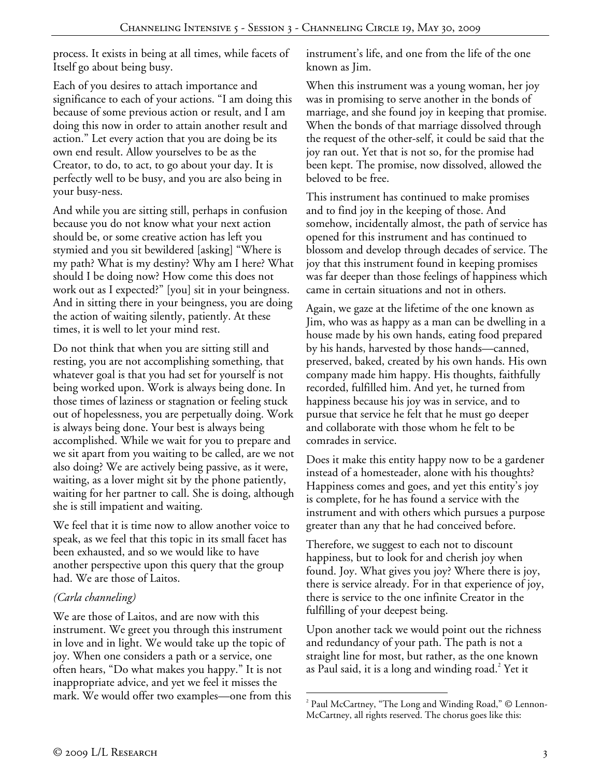process. It exists in being at all times, while facets of Itself go about being busy.

Each of you desires to attach importance and significance to each of your actions. "I am doing this because of some previous action or result, and I am doing this now in order to attain another result and action." Let every action that you are doing be its own end result. Allow yourselves to be as the Creator, to do, to act, to go about your day. It is perfectly well to be busy, and you are also being in your busy-ness.

And while you are sitting still, perhaps in confusion because you do not know what your next action should be, or some creative action has left you stymied and you sit bewildered [asking] "Where is my path? What is my destiny? Why am I here? What should I be doing now? How come this does not work out as I expected?" [you] sit in your beingness. And in sitting there in your beingness, you are doing the action of waiting silently, patiently. At these times, it is well to let your mind rest.

Do not think that when you are sitting still and resting, you are not accomplishing something, that whatever goal is that you had set for yourself is not being worked upon. Work is always being done. In those times of laziness or stagnation or feeling stuck out of hopelessness, you are perpetually doing. Work is always being done. Your best is always being accomplished. While we wait for you to prepare and we sit apart from you waiting to be called, are we not also doing? We are actively being passive, as it were, waiting, as a lover might sit by the phone patiently, waiting for her partner to call. She is doing, although she is still impatient and waiting.

We feel that it is time now to allow another voice to speak, as we feel that this topic in its small facet has been exhausted, and so we would like to have another perspective upon this query that the group had. We are those of Laitos.

### *(Carla channeling)*

We are those of Laitos, and are now with this instrument. We greet you through this instrument in love and in light. We would take up the topic of joy. When one considers a path or a service, one often hears, "Do what makes you happy." It is not inappropriate advice, and yet we feel it misses the mark. We would offer two examples—one from this instrument's life, and one from the life of the one known as Jim.

When this instrument was a young woman, her joy was in promising to serve another in the bonds of marriage, and she found joy in keeping that promise. When the bonds of that marriage dissolved through the request of the other-self, it could be said that the joy ran out. Yet that is not so, for the promise had been kept. The promise, now dissolved, allowed the beloved to be free.

This instrument has continued to make promises and to find joy in the keeping of those. And somehow, incidentally almost, the path of service has opened for this instrument and has continued to blossom and develop through decades of service. The joy that this instrument found in keeping promises was far deeper than those feelings of happiness which came in certain situations and not in others.

Again, we gaze at the lifetime of the one known as Jim, who was as happy as a man can be dwelling in a house made by his own hands, eating food prepared by his hands, harvested by those hands—canned, preserved, baked, created by his own hands. His own company made him happy. His thoughts, faithfully recorded, fulfilled him. And yet, he turned from happiness because his joy was in service, and to pursue that service he felt that he must go deeper and collaborate with those whom he felt to be comrades in service.

Does it make this entity happy now to be a gardener instead of a homesteader, alone with his thoughts? Happiness comes and goes, and yet this entity's joy is complete, for he has found a service with the instrument and with others which pursues a purpose greater than any that he had conceived before.

Therefore, we suggest to each not to discount happiness, but to look for and cherish joy when found. Joy. What gives you joy? Where there is joy, there is service already. For in that experience of joy, there is service to the one infinite Creator in the fulfilling of your deepest being.

Upon another tack we would point out the richness and redundancy of your path. The path is not a straight line for most, but rather, as the one known as Paul said, it is a long and winding road. $^2$  Yet it

<sup>-</sup><sup>2</sup> Paul McCartney, "The Long and Winding Road," © Lennon-McCartney, all rights reserved. The chorus goes like this: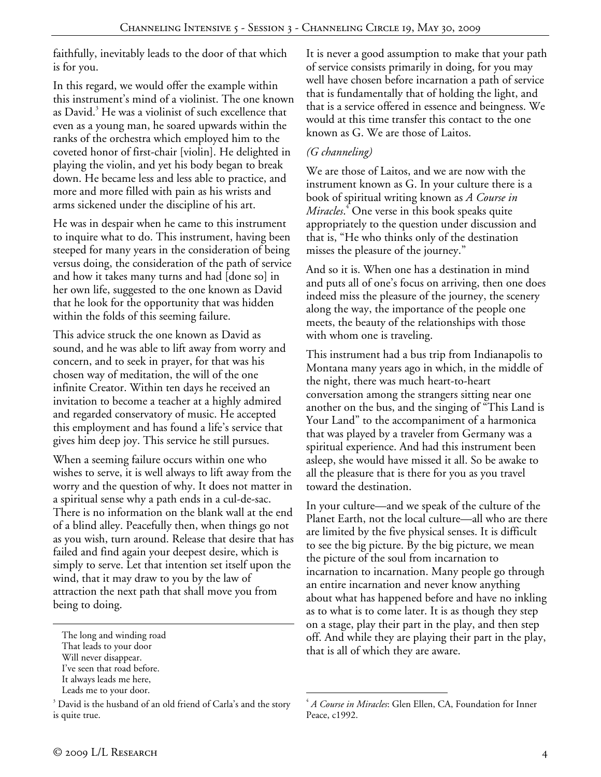faithfully, inevitably leads to the door of that which is for you.

In this regard, we would offer the example within this instrument's mind of a violinist. The one known as David.<sup>3</sup> He was a violinist of such excellence that even as a young man, he soared upwards within the ranks of the orchestra which employed him to the coveted honor of first-chair [violin]. He delighted in playing the violin, and yet his body began to break down. He became less and less able to practice, and more and more filled with pain as his wrists and arms sickened under the discipline of his art.

He was in despair when he came to this instrument to inquire what to do. This instrument, having been steeped for many years in the consideration of being versus doing, the consideration of the path of service and how it takes many turns and had [done so] in her own life, suggested to the one known as David that he look for the opportunity that was hidden within the folds of this seeming failure.

This advice struck the one known as David as sound, and he was able to lift away from worry and concern, and to seek in prayer, for that was his chosen way of meditation, the will of the one infinite Creator. Within ten days he received an invitation to become a teacher at a highly admired and regarded conservatory of music. He accepted this employment and has found a life's service that gives him deep joy. This service he still pursues.

When a seeming failure occurs within one who wishes to serve, it is well always to lift away from the worry and the question of why. It does not matter in a spiritual sense why a path ends in a cul-de-sac. There is no information on the blank wall at the end of a blind alley. Peacefully then, when things go not as you wish, turn around. Release that desire that has failed and find again your deepest desire, which is simply to serve. Let that intention set itself upon the wind, that it may draw to you by the law of attraction the next path that shall move you from being to doing.

 $\overline{a}$ 

<sup>3</sup> David is the husband of an old friend of Carla's and the story is quite true.

It is never a good assumption to make that your path of service consists primarily in doing, for you may well have chosen before incarnation a path of service that is fundamentally that of holding the light, and that is a service offered in essence and beingness. We would at this time transfer this contact to the one known as G. We are those of Laitos.

# *(G channeling)*

We are those of Laitos, and we are now with the instrument known as G. In your culture there is a book of spiritual writing known as *A Course in Miracles*. 4 One verse in this book speaks quite appropriately to the question under discussion and that is, "He who thinks only of the destination misses the pleasure of the journey."

And so it is. When one has a destination in mind and puts all of one's focus on arriving, then one does indeed miss the pleasure of the journey, the scenery along the way, the importance of the people one meets, the beauty of the relationships with those with whom one is traveling.

This instrument had a bus trip from Indianapolis to Montana many years ago in which, in the middle of the night, there was much heart-to-heart conversation among the strangers sitting near one another on the bus, and the singing of "This Land is Your Land" to the accompaniment of a harmonica that was played by a traveler from Germany was a spiritual experience. And had this instrument been asleep, she would have missed it all. So be awake to all the pleasure that is there for you as you travel toward the destination.

In your culture—and we speak of the culture of the Planet Earth, not the local culture—all who are there are limited by the five physical senses. It is difficult to see the big picture. By the big picture, we mean the picture of the soul from incarnation to incarnation to incarnation. Many people go through an entire incarnation and never know anything about what has happened before and have no inkling as to what is to come later. It is as though they step on a stage, play their part in the play, and then step off. And while they are playing their part in the play, that is all of which they are aware.

The long and winding road

That leads to your door

Will never disappear.

I've seen that road before.

It always leads me here,

Leads me to your door.

 $\overline{a}$ 4 *A Course in Miracles*: Glen Ellen, CA, Foundation for Inner Peace, c1992.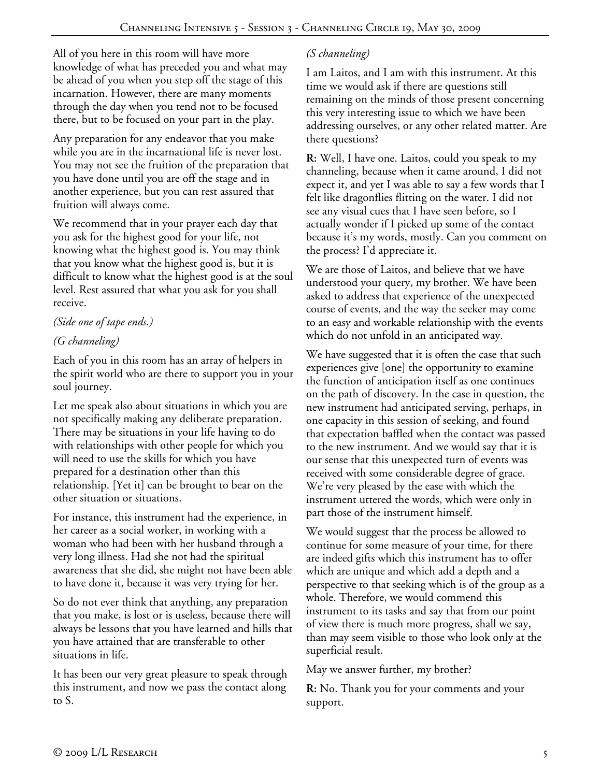All of you here in this room will have more knowledge of what has preceded you and what may be ahead of you when you step off the stage of this incarnation. However, there are many moments through the day when you tend not to be focused there, but to be focused on your part in the play.

Any preparation for any endeavor that you make while you are in the incarnational life is never lost. You may not see the fruition of the preparation that you have done until you are off the stage and in another experience, but you can rest assured that fruition will always come.

We recommend that in your prayer each day that you ask for the highest good for your life, not knowing what the highest good is. You may think that you know what the highest good is, but it is difficult to know what the highest good is at the soul level. Rest assured that what you ask for you shall receive.

## *(Side one of tape ends.)*

### *(G channeling)*

Each of you in this room has an array of helpers in the spirit world who are there to support you in your soul journey.

Let me speak also about situations in which you are not specifically making any deliberate preparation. There may be situations in your life having to do with relationships with other people for which you will need to use the skills for which you have prepared for a destination other than this relationship. [Yet it] can be brought to bear on the other situation or situations.

For instance, this instrument had the experience, in her career as a social worker, in working with a woman who had been with her husband through a very long illness. Had she not had the spiritual awareness that she did, she might not have been able to have done it, because it was very trying for her.

So do not ever think that anything, any preparation that you make, is lost or is useless, because there will always be lessons that you have learned and hills that you have attained that are transferable to other situations in life.

It has been our very great pleasure to speak through this instrument, and now we pass the contact along to S.

# *(S channeling)*

I am Laitos, and I am with this instrument. At this time we would ask if there are questions still remaining on the minds of those present concerning this very interesting issue to which we have been addressing ourselves, or any other related matter. Are there questions?

**R:** Well, I have one. Laitos, could you speak to my channeling, because when it came around, I did not expect it, and yet I was able to say a few words that I felt like dragonflies flitting on the water. I did not see any visual cues that I have seen before, so I actually wonder if I picked up some of the contact because it's my words, mostly. Can you comment on the process? I'd appreciate it.

We are those of Laitos, and believe that we have understood your query, my brother. We have been asked to address that experience of the unexpected course of events, and the way the seeker may come to an easy and workable relationship with the events which do not unfold in an anticipated way.

We have suggested that it is often the case that such experiences give [one] the opportunity to examine the function of anticipation itself as one continues on the path of discovery. In the case in question, the new instrument had anticipated serving, perhaps, in one capacity in this session of seeking, and found that expectation baffled when the contact was passed to the new instrument. And we would say that it is our sense that this unexpected turn of events was received with some considerable degree of grace. We're very pleased by the ease with which the instrument uttered the words, which were only in part those of the instrument himself.

We would suggest that the process be allowed to continue for some measure of your time, for there are indeed gifts which this instrument has to offer which are unique and which add a depth and a perspective to that seeking which is of the group as a whole. Therefore, we would commend this instrument to its tasks and say that from our point of view there is much more progress, shall we say, than may seem visible to those who look only at the superficial result.

#### May we answer further, my brother?

**R:** No. Thank you for your comments and your support.